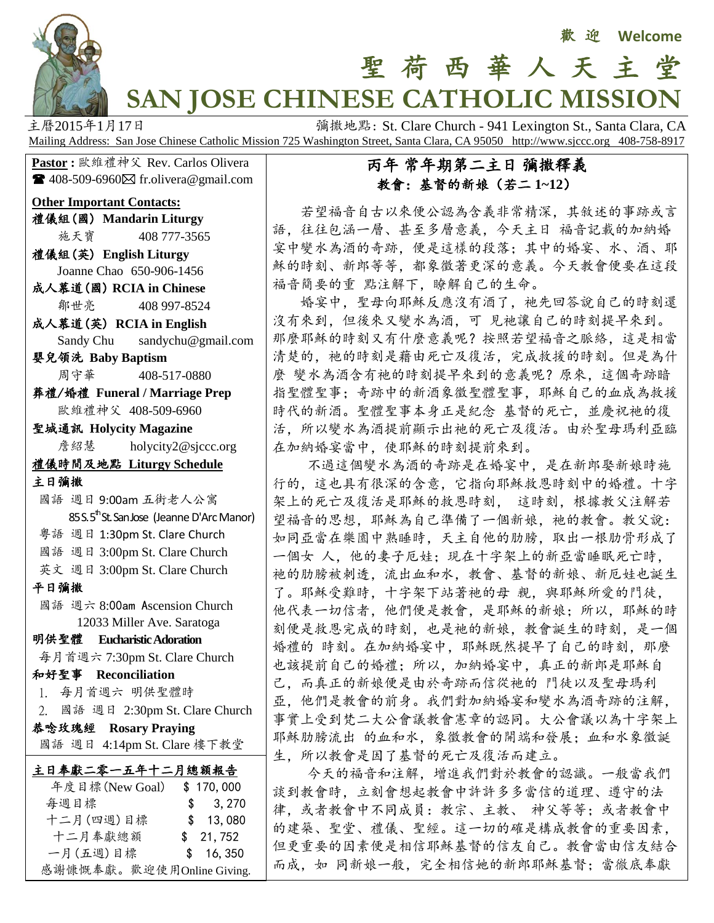

# 聖 荷 西 華 人 天 主 堂 **SAN JOSE CHINESE CATHOLIC MISSION**

主曆2015年1月17日 **December 1941 The Propert of Text** St. Clare Church - 941 Lexington St., Santa Clara, CA Mailing Address: San Jose Chinese Catholic Mission 725 Washington Street, Santa Clara, CA 95050 http://www.sjccc.org 408-758-8917

**Pastor** : 歐維禮神父 Rev. Carlos Olivera  $\blacksquare$  408-509-6960 $\boxtimes$  fr.olivera@gmail.com

#### **Other Important Contacts:**

禮儀組(國) **Mandarin Liturgy** 施天寶 408 777-3565

- 禮儀組(英) **English Liturgy** Joanne Chao 650-906-1456 成人慕道(國) **RCIA in Chinese**
- 鄒世亮 408 997-8524
- 成人慕道(英) **RCIA in English** Sandy Chu sandychu@gmail.com
- 嬰兒領洗 **Baby Baptism** 周守華 408-517-0880

葬禮/婚禮 **Funeral / Marriage Prep** 歐維禮神父 408-509-6960

聖城通訊 **Holycity Magazine 詹紹慧** [holycity2@sjccc.org](mailto:holycity2@sjccc.org)

#### 禮儀時間及地點 **Liturgy Schedule**

主日彌撒

- 國語 週日 9:00am 五街老人公寓  $85 S. 5<sup>th</sup>$ St. San Jose (Jeanne D'Arc Manor)
- 粵語 週日 1:30pm St. Clare Church
- 國語 週日 3:00pm St. Clare Church
- 英文 週日 3:00pm St. Clare Church

平日彌撒

 國語 週六 8:00am Ascension Church 12033 Miller Ave. Saratoga

# 明供聖體 **Eucharistic Adoration**

每月首週六 7:30pm St. Clare Church

和好聖事 **Reconciliation**

1. 每月首週六 明供聖體時

2. 國語 週日 2:30pm St. Clare Church

恭唸玫瑰經 **Rosary Praying** 國語 週日 4:14pm St. Clare 樓下教堂

| 主日奉獻二零一五年十二月總額報告          |           |
|---------------------------|-----------|
| 年度目標(New Goal)            | \$170,000 |
| 每週目標                      | \$3,270   |
| 十二月(四週)目標                 | \$13,080  |
| 十二月奉獻總額                   | \$21,752  |
| 一月(五週)目標                  | \$16,350  |
| 感謝慷慨奉獻。歡迎使用Online Giving. |           |

### 丙年 常年期第二主日 彌撒釋義 教會:基督的新娘(若二 **1~12**)

 若望福音自古以來便公認為含義非常精深,其敘述的事跡或言 語,往往包涵一層、甚至多層意義,今天主日 福音記載的加納婚 宴中變水為酒的奇跡,便是這樣的段落;其中的婚宴、水、酒、耶 穌的時刻、新郎等等,都象徵著更深的意義。今天教會便要在這段 福音簡要的重 點注解下,瞭解自己的生命。

 婚宴中,聖母向耶穌反應沒有酒了,祂先回答說自己的時刻還 沒有來到,但後來又變水為酒,可 見祂讓自己的時刻提早來到。 那麼耶穌的時刻又有什麼意義呢?按照若望福音之脈絡,這是相當 清楚的, 祂的時刻是藉由死亡及復活, 完成救援的時刻。但是為什 麼 變水為酒含有祂的時刻提早來到的意義呢?原來,這個奇跡暗 指聖體聖事;奇跡中的新酒象徵聖體聖事,耶穌自己的血成為救援 時代的新酒。聖體聖事本身正是紀念 基督的死亡,並慶祝祂的復 活,所以變水為酒提前顯示出祂的死亡及復活。由於聖母瑪利亞臨 在加納婚宴當中,使耶穌的時刻提前來到。

 不過這個變水為酒的奇跡是在婚宴中,是在新郎娶新娘時施 行的,這也具有很深的含意,它指向耶穌救恩時刻中的婚禮。十字 架上的死亡及復活是耶穌的救恩時刻, 這時刻,根據教父注解若 望福音的思想,耶穌為自己準備了一個新娘,祂的教會。教父說: 如同亞當在樂園中熟睡時,天主自他的肋膀,取出一根肋骨形成了 一個女 人,他的妻子厄娃;現在十字架上的新亞當睡眠死亡時, 祂的肋膀被刺透,流出血和水,教會、基督的新娘、新厄娃也誕生 了。耶穌受難時,十字架下站著祂的母 親,與耶穌所愛的門徒, 他代表一切信者,他們便是教會,是耶穌的新娘;所以,耶穌的時 刻便是救恩完成的時刻,也是祂的新娘,教會誕生的時刻,是一個 婚禮的 時刻。在加納婚宴中,耶穌既然提早了自己的時刻,那麼 也該提前自己的婚禮;所以,加納婚宴中,真正的新郎是耶穌自 己,而真正的新娘便是由於奇跡而信從祂的 門徒以及聖母瑪利 亞,他們是教會的前身。我們對加納婚宴和變水為酒奇跡的注解, 事實上受到梵二大公會議教會憲章的認同。大公會議以為十字架上 耶穌肋膀流出 的血和水,象徵教會的開端和發展;血和水象徵誕 生,所以教會是因了基督的死亡及復活而建立。

 今天的福音和注解,增進我們對於教會的認識。一般當我們 談到教會時,立刻會想起教會中許許多多當信的道理、遵守的法 律,或者教會中不同成員:教宗、主教、 神父等等;或者教會中 的建築、聖堂、禮儀、聖經。這一切的確是構成教會的重要因素, 但更重要的因素便是相信耶穌基督的信友自己。教會當由信友結合 而成,如 同新娘一般,完全相信她的新郎耶穌基督;當徹底奉獻